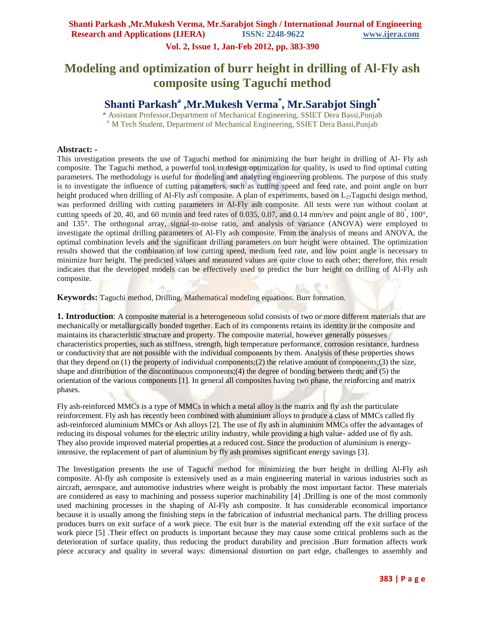**Vol. 2, Issue 1, Jan-Feb 2012, pp. 383-390**

# **Modeling and optimization of burr height in drilling of Al-Fly ash composite using Taguchi method**

## **Shanti Parkash<sup>a</sup> ,Mr.Mukesh Verma\* , Mr.Sarabjot Singh\***

\* Assistant Professor,Department of Mechanical Engineering, SSIET Dera Bassi,Punjab <sup>a</sup> M Tech Student, Department of Mechanical Engineering, SSIET Dera Bassi, Punjab

#### **Abstract: -**

This investigation presents the use of Taguchi method for minimizing the burr height in drilling of Al- Fly ash composite. The Taguchi method, a powerful tool to design optimization for quality, is used to find optimal cutting parameters. The methodology is useful for modeling and analyzing engineering problems. The purpose of this study is to investigate the influence of cutting parameters, such as cutting speed and feed rate, and point angle on burr height produced when drilling of Al-Fly ash composite. A plan of experiments, based on  $L_{27}$ Taguchi design method, was performed drilling with cutting parameters in Al-Fly ash composite. All tests were run without coolant at cutting speeds of 20, 40, and 60 m/min and feed rates of 0.035, 0.07, and 0.14 mm/rev and point angle of 80 $\degree$ , 100 $\degree$ , and 135°. The orthogonal array, signal-to-noise ratio, and analysis of variance (ANOVA) were employed to investigate the optimal drilling parameters of Al-Fly ash composite. From the analysis of means and ANOVA, the optimal combination levels and the significant drilling parameters on burr height were obtained. The optimization results showed that the combination of low cutting speed, medium feed rate, and low point angle is necessary to minimize burr height. The predicted values and measured values are quite close to each other; therefore, this result indicates that the developed models can be effectively used to predict the burr height on drilling of Al-Fly ash composite.

**Keywords:** Taguchi method, Drilling. Mathematical modeling equations. Burr formation.

**1. Introduction**: A composite material is a heterogeneous solid consists of two or more different materials that are mechanically or metallurgically bonded together. Each of its components retains its identity in the composite and maintains its characteristic structure and property. The composite material, however generally possesses characteristics properties, such as stiffness, strength, high temperature performance, corrosion resistance, hardness or conductivity that are not possible with the individual components by them. Analysis of these properties shows that they depend on (1) the property of individual components;(2) the relative amount of components;(3) the size, shape and distribution of the discontinuous components;(4) the degree of bonding between them; and (5) the orientation of the various components [1]. In general all composites having two phase, the reinforcing and matrix phases.

Fly ash-reinforced MMCs is a type of MMCs in which a metal alloy is the matrix and fly ash the particulate reinforcement. Fly ash has recently been combined with aluminium alloys to produce a class of MMCs called fly ash-reinforced aluminium MMCs or Ash alloys [2]. The use of fly ash in aluminium MMCs offer the advantages of reducing its disposal volumes for the electric utility industry, while providing a high value- added use of fly ash. They also provide improved material properties at a reduced cost. Since the production of aluminium is energyintensive, the replacement of part of aluminium by fly ash promises significant energy savings [3].

The Investigation presents the use of Taguchi method for minimizing the burr height in drilling Al-Fly ash composite. Al-fly ash composite is extensively used as a main engineering material in various industries such as aircraft, aerospace, and automotive industries where weight is probably the most important factor. These materials are considered as easy to machining and possess superior machinability [4] .Drilling is one of the most commonly used machining processes in the shaping of Al-Fly ash composite. It has considerable economical importance because it is usually among the finishing steps in the fabrication of industrial mechanical parts. The drilling process produces burrs on exit surface of a work piece. The exit burr is the material extending off the exit surface of the work piece [5] .Their effect on products is important because they may cause some critical problems such as the deterioration of surface quality, thus reducing the product durability and precision .Burr formation affects work piece accuracy and quality in several ways: dimensional distortion on part edge, challenges to assembly and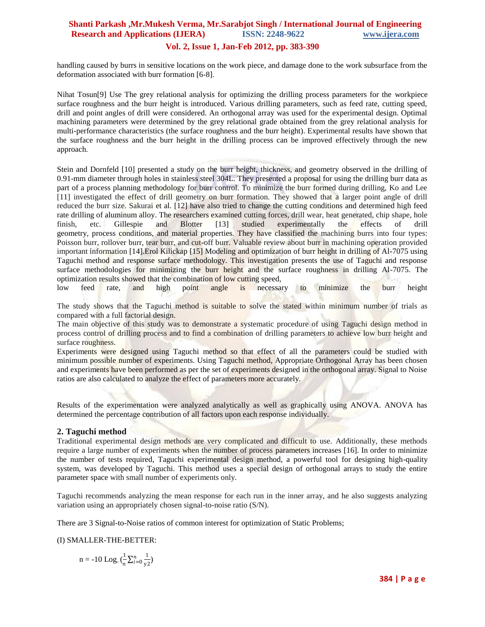#### **Vol. 2, Issue 1, Jan-Feb 2012, pp. 383-390**

handling caused by burrs in sensitive locations on the work piece, and damage done to the work subsurface from the deformation associated with burr formation [6-8].

Nihat Tosun[9] Use The grey relational analysis for optimizing the drilling process parameters for the workpiece surface roughness and the burr height is introduced. Various drilling parameters, such as feed rate, cutting speed, drill and point angles of drill were considered. An orthogonal array was used for the experimental design. Optimal machining parameters were determined by the grey relational grade obtained from the grey relational analysis for multi-performance characteristics (the surface roughness and the burr height). Experimental results have shown that the surface roughness and the burr height in the drilling process can be improved effectively through the new approach.

Stein and Dornfeld [10] presented a study on the burr height, thickness, and geometry observed in the drilling of 0.91-mm diameter through holes in stainless steel 304L. They presented a proposal for using the drilling burr data as part of a process planning methodology for burr control. To minimize the burr formed during drilling, Ko and Lee [11] investigated the effect of drill geometry on burr formation. They showed that a larger point angle of drill reduced the burr size. Sakurai et al. [12] have also tried to change the cutting conditions and determined high feed rate drilling of aluminum alloy. The researchers examined cutting forces, drill wear, heat generated, chip shape, hole finish, etc. Gillespie and Blotter [13] studied experimentally the effects of drill geometry, process conditions, and material properties. They have classified the machining burrs into four types: Poisson burr, rollover burr, tear burr, and cut-off burr. Valuable review about burr in machining operation provided important information [14].Erol Kilickap [15] Modeling and optimization of burr height in drilling of Al-7075 using Taguchi method and response surface methodology. This investigation presents the use of Taguchi and response surface methodologies for minimizing the burr height and the surface roughness in drilling Al-7075. The optimization results showed that the combination of low cutting speed,

low feed rate, and high point angle is necessary to minimize the burr height

The study shows that the Taguchi method is suitable to solve the stated within minimum number of trials as compared with a full factorial design.

The main objective of this study was to demonstrate a systematic procedure of using Taguchi design method in process control of drilling process and to find a combination of drilling parameters to achieve low burr height and surface roughness.

Experiments were designed using Taguchi method so that effect of all the parameters could be studied with minimum possible number of experiments. Using Taguchi method, Appropriate Orthogonal Array has been chosen and experiments have been performed as per the set of experiments designed in the orthogonal array. Signal to Noise ratios are also calculated to analyze the effect of parameters more accurately.

Results of the experimentation were analyzed analytically as well as graphically using ANOVA. ANOVA has determined the percentage contribution of all factors upon each response individually.

#### **2. Taguchi method**

Traditional experimental design methods are very complicated and difficult to use. Additionally, these methods require a large number of experiments when the number of process parameters increases [16]. In order to minimize the number of tests required, Taguchi experimental design method, a powerful tool for designing high-quality system, was developed by Taguchi. This method uses a special design of orthogonal arrays to study the entire parameter space with small number of experiments only.

Taguchi recommends analyzing the mean response for each run in the inner array, and he also suggests analyzing variation using an appropriately chosen signal-to-noise ratio (S/N).

There are 3 Signal-to-Noise ratios of common interest for optimization of Static Problems;

(I) SMALLER-THE-BETTER:

 $n = -10$  Log.  $\left(\frac{1}{2}\right)$  $\frac{1}{n} \sum_{i=0}^{n} \frac{1}{y_i^2}$ y2  $\frac{n}{i=0}$   $\frac{1}{v^2}$ )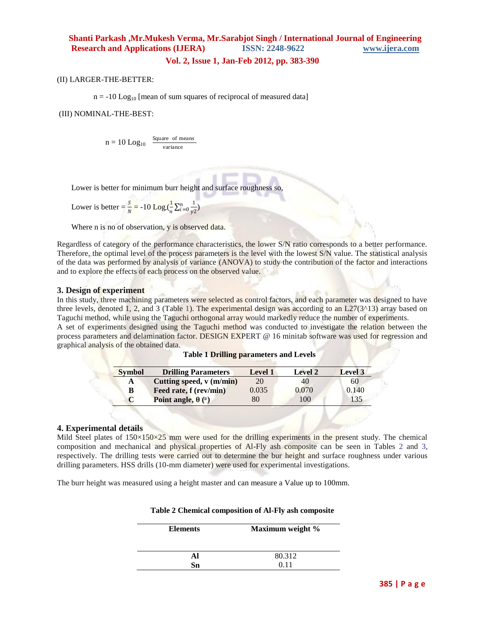#### **Vol. 2, Issue 1, Jan-Feb 2012, pp. 383-390**

(II) LARGER-THE-BETTER:

 $n = -10$  Log<sub>10</sub> [mean of sum squares of reciprocal of measured data]

(III) NOMINAL-THE-BEST:

$$
n = 10~Log_{10}~~\frac{\text{Square of means}}{\text{variance}}
$$

Lower is better for minimum burr height and surface roughness so,

Lower is better  $=$   $\frac{S}{N}$   $=$  -10 Log.( $\frac{1}{n}$  $\frac{1}{n} \sum_{i=0}^{n} \frac{1}{y_i^2}$ y2  $\frac{n}{i=0}$   $\frac{1}{v^2}$ )

Where n is no of observation, y is observed data.

Regardless of category of the performance characteristics, the lower S/N ratio corresponds to a better performance. Therefore, the optimal level of the process parameters is the level with the lowest S/N value. The statistical analysis of the data was performed by analysis of variance (ANOVA) to study the contribution of the factor and interactions and to explore the effects of each process on the observed value.

#### **3. Design of experiment**

In this study, three machining parameters were selected as control factors, and each parameter was designed to have three levels, denoted 1, 2, and 3 (Table 1). The experimental design was according to an  $L27(3^{\text{A}}13)$  array based on Taguchi method, while using the Taguchi orthogonal array would markedly reduce the number of experiments. A set of experiments designed using the Taguchi method was conducted to investigate the relation between the process parameters and delamination factor. DESIGN EXPERT @ 16 minitab software was used for regression and graphical analysis of the obtained data.

| <b>Symbol</b> | <b>Drilling Parameters</b> | <b>Level 1</b> | <b>Level 2</b> | Level 3 |
|---------------|----------------------------|----------------|----------------|---------|
| A             | Cutting speed, v (m/min)   | 20             | 40             | 60      |
| B             | Feed rate, f (rev/min)     | 0.035          | 0.070          | 0.140   |
|               | Point angle, $\theta$ (°)  | 80             | 100            | 135     |

#### **Table 1 Drilling parameters and Levels**

#### **4. Experimental details**

Mild Steel plates of  $150\times150\times25$  mm were used for the drilling experiments in the present study. The chemical composition and mechanical and physical properties of Al-Fly ash composite can be seen in Tables 2 and 3, respectively. The drilling tests were carried out to determine the bur height and surface roughness under various drilling parameters. HSS drills (10-mm diameter) were used for experimental investigations.

The burr height was measured using a height master and can measure a Value up to 100mm.

| <b>Elements</b> | Maximum weight % |
|-----------------|------------------|
|                 | 80.312           |
| Sn              | 0.11             |

#### **Table 2 Chemical composition of Al-Fly ash composite**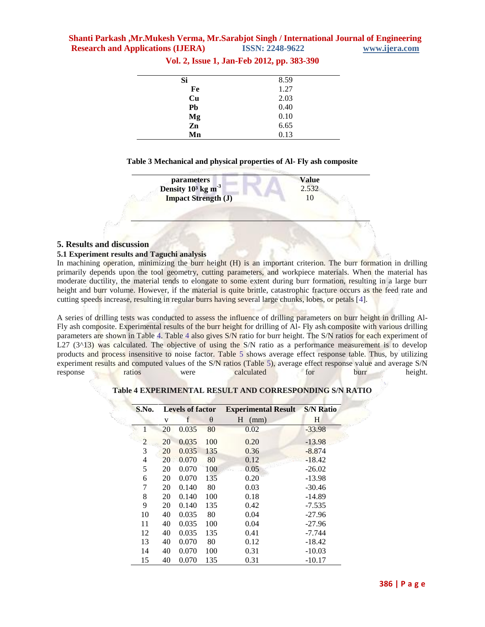| 8.59 |
|------|
| 1.27 |
| 2.03 |
| 0.40 |
| 0.10 |
| 6.65 |
| 0.13 |
|      |

**Vol. 2, Issue 1, Jan-Feb 2012, pp. 383-390**

#### **Table 3 Mechanical and physical properties of Al- Fly ash composite**

|                                                          | <b>Value</b> |
|----------------------------------------------------------|--------------|
| parameters<br>Density 10 <sup>3</sup> kg m <sup>-3</sup> | 2.532        |
| <b>Impact Strength (J)</b>                               |              |

#### **5. Results and discussion**

#### **5.1 Experiment results and Taguchi analysis**

In machining operation, minimizing the burr height (H) is an important criterion. The burr formation in drilling primarily depends upon the tool geometry, cutting parameters, and workpiece materials. When the material has moderate ductility, the material tends to elongate to some extent during burr formation, resulting in a large burr height and burr volume. However, if the material is quite brittle, catastrophic fracture occurs as the feed rate and cutting speeds increase, resulting in regular burrs having several large chunks, lobes, or petals [4].

A series of drilling tests was conducted to assess the influence of drilling parameters on burr height in drilling Al-Fly ash composite. Experimental results of the burr height for drilling of Al- Fly ash composite with various drilling parameters are shown in Table 4. Table 4 also gives S/N ratio for burr height. The S/N ratios for each experiment of L27 ( $3^{\wedge}13$ ) was calculated. The objective of using the S/N ratio as a performance measurement is to develop products and process insensitive to noise factor. Table 5 shows average effect response table. Thus, by utilizing experiment results and computed values of the S/N ratios (Table 5), average effect response value and average S/N response ratios were calculated for burr height.

| S.No.          |    | <b>Levels of factor</b> |          | <b>Experimental Result</b> | <b>S/N Ratio</b> |
|----------------|----|-------------------------|----------|----------------------------|------------------|
|                | V  | f                       | $\theta$ | H<br>(mm)                  | Н                |
| 1              | 20 | 0.035                   | 80       | 0.02                       | $-33.98$         |
| $\overline{2}$ | 20 | 0.035                   | 100      | 0.20                       | $-13.98$         |
| 3              | 20 | 0.035                   | 135      | 0.36                       | $-8.874$         |
| 4              | 20 | 0.070                   | 80       | 0.12                       | $-18.42$         |
| 5              | 20 | 0.070                   | 100      | 0.05                       | $-26.02$         |
| 6              | 20 | 0.070                   | 135      | 0.20                       | $-13.98$         |
| 7              | 20 | 0.140                   | 80       | 0.03                       | $-30.46$         |
| 8              | 20 | 0.140                   | 100      | 0.18                       | $-14.89$         |
| 9              | 20 | 0.140                   | 135      | 0.42                       | $-7.535$         |
| 10             | 40 | 0.035                   | 80       | 0.04                       | $-27.96$         |
| 11             | 40 | 0.035                   | 100      | 0.04                       | $-27.96$         |
| 12             | 40 | 0.035                   | 135      | 0.41                       | $-7.744$         |
| 13             | 40 | 0.070                   | 80       | 0.12                       | $-18.42$         |
| 14             | 40 | 0.070                   | 100      | 0.31                       | $-10.03$         |
| 15             | 40 | 0.070                   | 135      | 0.31                       | $-10.17$         |

#### **Table 4 EXPERIMENTAL RESULT AND CORRESPONDING S/N RATIO**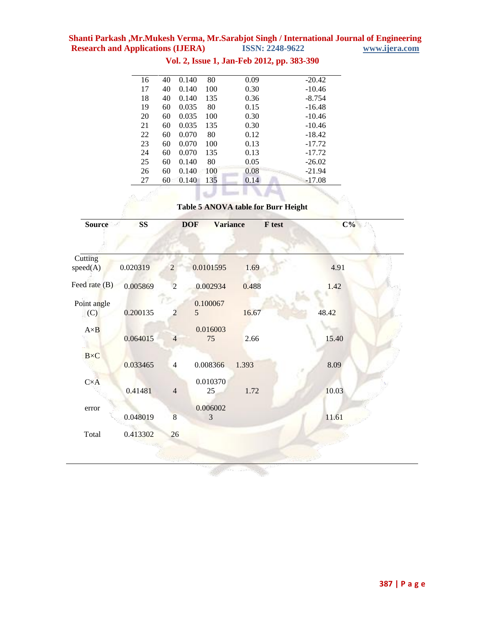**Shanti Parkash ,Mr.Mukesh Verma, Mr.Sarabjot Singh / International Journal of Engineering Research and Applications (IJERA)** 

| 27 | 60 | 0.140 | 135 | 0.14 | $-17.08$ |
|----|----|-------|-----|------|----------|
| 26 | 60 | 0.140 | 100 | 0.08 | $-21.94$ |
| 25 | 60 | 0.140 | 80  | 0.05 | $-26.02$ |
| 24 | 60 | 0.070 | 135 | 0.13 | $-17.72$ |
| 23 | 60 | 0.070 | 100 | 0.13 | $-17.72$ |
| 22 | 60 | 0.070 | 80  | 0.12 | $-18.42$ |
| 21 | 60 | 0.035 | 135 | 0.30 | $-10.46$ |
| 20 | 60 | 0.035 | 100 | 0.30 | $-10.46$ |
| 19 | 60 | 0.035 | 80  | 0.15 | $-16.48$ |
| 18 | 40 | 0.140 | 135 | 0.36 | $-8.754$ |
| 17 | 40 | 0.140 | 100 | 0.30 | $-10.46$ |
| 16 | 40 | 0.140 | 80  | 0.09 | $-20.42$ |

## **Vol. 2, Issue 1, Jan-Feb 2012, pp. 383-390**

**Table 5 ANOVA table for Burr Height**

| <b>Source</b>       | <b>SS</b> |                | <b>Variance</b><br><b>DOF</b> |       | $C\%$<br>F test |
|---------------------|-----------|----------------|-------------------------------|-------|-----------------|
|                     |           |                |                               |       |                 |
| Cutting<br>speed(A) | 0.020319  | $\overline{2}$ | 0.0101595                     | 1.69  | 4.91            |
| Feed rate $(B)$     | 0.005869  | $\overline{2}$ | 0.002934                      | 0.488 | 1.42            |
| Point angle<br>(C)  | 0.200135  | 2              | 0.100067<br>5                 | 16.67 | 48.42           |
| $A \times B$        | 0.064015  | $\overline{4}$ | 0.016003<br>75                | 2.66  | 15.40           |
| $B\times C$         | 0.033465  | 4              | 0.008366                      | 1.393 | 8.09            |
| $C \times A$        | 0.41481   | $\overline{4}$ | 0.010370<br>25                | 1.72  | 10.03           |
| error               | 0.048019  | $\overline{8}$ | 0.006002<br>3                 |       | 11.61           |
| Total               | 0.413302  | 26             |                               |       |                 |
|                     |           |                |                               |       |                 |

la servizione di S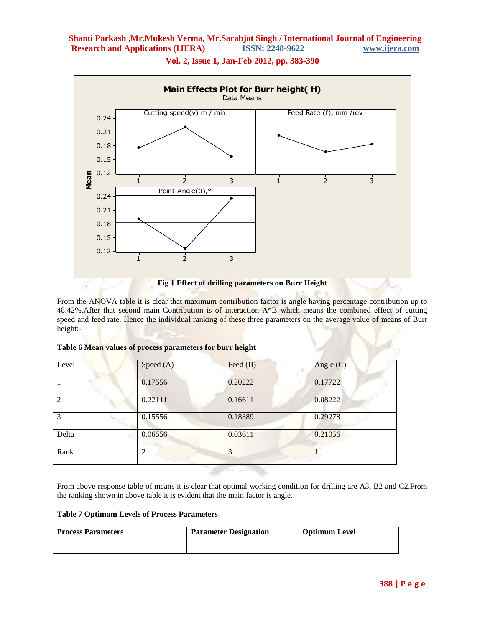

**Vol. 2, Issue 1, Jan-Feb 2012, pp. 383-390**

From the ANOVA table it is clear that maximum contribution factor is angle having percentage contribution up to 48.42%.After that second main Contribution is of interaction A\*B which means the combined effect of cutting speed and feed rate. Hence the individual ranking of these three parameters on the average value of means of Burr height:-

| Level | Speed (A) | Feed $(B)$ | Angle $(C)$ |
|-------|-----------|------------|-------------|
|       | 0.17556   | 0.20222    | 0.17722     |
| 2     | 0.22111   | 0.16611    | 0.08222     |
| 3     | 0.15556   | 0.18389    | 0.29278     |
| Delta | 0.06556   | 0.03611    | 0.21056     |
| Rank  | 2         | 3          |             |

#### **Table 6 Mean values of process parameters for burr height**

From above response table of means it is clear that optimal working condition for drilling are A3, B2 and C2.From the ranking shown in above table it is evident that the main factor is angle.

#### **Table 7 Optimum Levels of Process Parameters**

| <b>Process Parameters</b> | <b>Parameter Designation</b> | <b>Optimum Level</b> |
|---------------------------|------------------------------|----------------------|
|                           |                              |                      |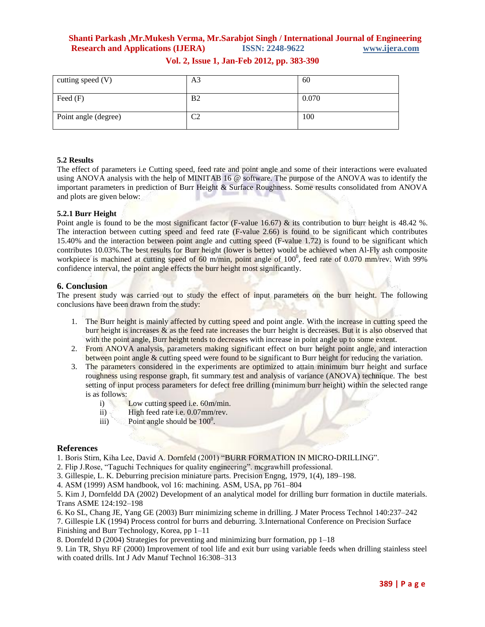| cutting speed (V)    | A3             | 60    |
|----------------------|----------------|-------|
| Feed $(F)$           | B <sub>2</sub> | 0.070 |
| Point angle (degree) | C2             | 100   |

### **Vol. 2, Issue 1, Jan-Feb 2012, pp. 383-390**

#### **5.2 Results**

The effect of parameters i.e Cutting speed, feed rate and point angle and some of their interactions were evaluated using ANOVA analysis with the help of MINITAB 16 @ software. The purpose of the ANOVA was to identify the important parameters in prediction of Burr Height & Surface Roughness. Some results consolidated from ANOVA and plots are given below:

#### **5.2.1 Burr Height**

Point angle is found to be the most significant factor (F-value 16.67) & its contribution to burr height is 48.42 %. The interaction between cutting speed and feed rate (F-value 2.66) is found to be significant which contributes 15.40% and the interaction between point angle and cutting speed (F-value 1.72) is found to be significant which contributes 10.03%.The best results for Burr height (lower is better) would be achieved when Al-Fly ash composite workpiece is machined at cutting speed of 60 m/min, point angle of  $100^0$ , feed rate of 0.070 mm/rev. With 99% confidence interval, the point angle effects the burr height most significantly.

#### **6. Conclusion**

The present study was carried out to study the effect of input parameters on the burr height. The following conclusions have been drawn from the study:

- 1. The Burr height is mainly affected by cutting speed and point angle. With the increase in cutting speed the burr height is increases  $\&$  as the feed rate increases the burr height is decreases. But it is also observed that with the point angle, Burr height tends to decreases with increase in point angle up to some extent.
- 2. From ANOVA analysis, parameters making significant effect on burr height point angle, and interaction between point angle & cutting speed were found to be significant to Burr height for reducing the variation.
- 3. The parameters considered in the experiments are optimized to attain minimum burr height and surface roughness using response graph, fit summary test and analysis of variance (ANOVA) technique. The best setting of input process parameters for defect free drilling (minimum burr height) within the selected range is as follows:
	- i) Low cutting speed i.e. 60m/min.
	- ii) High feed rate i.e. 0.07mm/rev.
	- iii) Point angle should be  $100^0$ .

#### **References**

1. Boris Stirn, Kiha Lee, David A. Dornfeld (2001) "BURR FORMATION IN MICRO-DRILLING".

2. Flip J.Rose, "Taguchi Techniques for quality engineering". mcgrawhill professional.

3. Gillespie, L. K. Deburring precision miniature parts. Precision Engng, 1979, 1(4), 189–198.

4. ASM (1999) ASM handbook, vol 16: machining. ASM, USA, pp 761–804

5. Kim J, Dornfeldd DA (2002) Development of an analytical model for drilling burr formation in ductile materials. Trans ASME 124:192–198

6. Ko SL, Chang JE, Yang GE (2003) Burr minimizing scheme in drilling. J Mater Process Technol 140:237–242

7. Gillespie LK (1994) Process control for burrs and deburring. 3.International Conference on Precision Surface Finishing and Burr Technology, Korea, pp 1–11

8. Dornfeld D (2004) Strategies for preventing and minimizing burr formation, pp 1–18

9. Lin TR, Shyu RF (2000) Improvement of tool life and exit burr using variable feeds when drilling stainless steel with coated drills. Int J Adv Manuf Technol 16:308–313